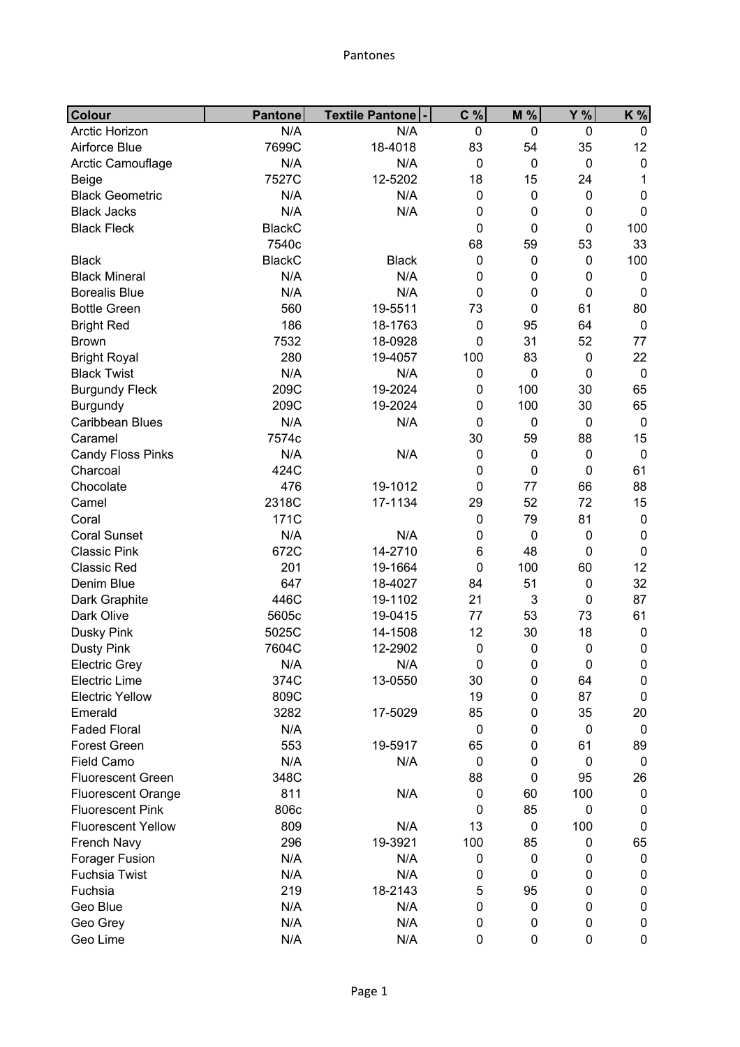| Colour                    | <b>Pantone</b> | <b>Textile Pantone</b> | C %              | M %              | <b>Y</b> %  | K %         |
|---------------------------|----------------|------------------------|------------------|------------------|-------------|-------------|
| Arctic Horizon            | N/A            | N/A                    | $\mathbf 0$      | $\mathbf 0$      | $\mathbf 0$ | 0           |
| Airforce Blue             | 7699C          | 18-4018                | 83               | 54               | 35          | 12          |
| Arctic Camouflage         | N/A            | N/A                    | $\mathbf 0$      | $\mathbf 0$      | $\mathbf 0$ | $\mathbf 0$ |
| Beige                     | 7527C          | 12-5202                | 18               | 15               | 24          | 1           |
| <b>Black Geometric</b>    | N/A            | N/A                    | $\boldsymbol{0}$ | 0                | $\mathbf 0$ | 0           |
| <b>Black Jacks</b>        | N/A            | N/A                    | $\boldsymbol{0}$ | 0                | $\pmb{0}$   | 0           |
| <b>Black Fleck</b>        | <b>BlackC</b>  |                        | 0                | $\mathbf 0$      | $\mathbf 0$ | 100         |
|                           | 7540c          |                        | 68               | 59               | 53          | 33          |
| <b>Black</b>              | <b>BlackC</b>  | <b>Black</b>           | 0                | $\mathbf 0$      | 0           | 100         |
| <b>Black Mineral</b>      | N/A            | N/A                    | 0                | 0                | 0           | 0           |
| <b>Borealis Blue</b>      | N/A            | N/A                    | $\mathbf 0$      | 0                | $\mathbf 0$ | $\mathbf 0$ |
| <b>Bottle Green</b>       | 560            | 19-5511                | 73               | $\mathbf 0$      | 61          | 80          |
| <b>Bright Red</b>         | 186            | 18-1763                | $\mathbf 0$      | 95               | 64          | $\mathbf 0$ |
| <b>Brown</b>              | 7532           | 18-0928                | 0                | 31               | 52          | 77          |
| <b>Bright Royal</b>       | 280            | 19-4057                | 100              | 83               | $\pmb{0}$   | 22          |
| <b>Black Twist</b>        | N/A            | N/A                    | $\boldsymbol{0}$ | $\mathbf 0$      | 0           | $\mathbf 0$ |
| <b>Burgundy Fleck</b>     | 209C           | 19-2024                | $\boldsymbol{0}$ | 100              | 30          | 65          |
| Burgundy                  | 209C           | 19-2024                | $\boldsymbol{0}$ | 100              | 30          | 65          |
| Caribbean Blues           | N/A            | N/A                    | $\mathbf 0$      | $\pmb{0}$        | $\pmb{0}$   | $\mathbf 0$ |
| Caramel                   | 7574c          |                        | 30               | 59               | 88          | 15          |
| <b>Candy Floss Pinks</b>  | N/A            | N/A                    | $\mathbf 0$      | $\mathbf 0$      | $\mathbf 0$ | $\mathbf 0$ |
| Charcoal                  | 424C           |                        | 0                | $\mathbf 0$      | $\mathbf 0$ | 61          |
| Chocolate                 | 476            | 19-1012                | 0                | 77               | 66          | 88          |
| Camel                     | 2318C          | 17-1134                | 29               | 52               | 72          | 15          |
| Coral                     | 171C           |                        | $\mathbf 0$      | 79               | 81          | $\pmb{0}$   |
| <b>Coral Sunset</b>       | N/A            | N/A                    | $\boldsymbol{0}$ | $\boldsymbol{0}$ | $\mathbf 0$ | $\pmb{0}$   |
| <b>Classic Pink</b>       | 672C           | 14-2710                | 6                | 48               | $\mathbf 0$ | $\mathbf 0$ |
| <b>Classic Red</b>        | 201            | 19-1664                | $\mathbf 0$      | 100              | 60          | 12          |
| Denim Blue                | 647            | 18-4027                | 84               | 51               | $\pmb{0}$   | 32          |
| Dark Graphite             | 446C           | 19-1102                | 21               | 3                | $\mathbf 0$ | 87          |
| Dark Olive                | 5605c          | 19-0415                | 77               | 53               | 73          | 61          |
| Dusky Pink                | 5025C          | 14-1508                | 12               | 30               | 18          | $\pmb{0}$   |
| <b>Dusty Pink</b>         | 7604C          | 12-2902                | $\mathbf 0$      | $\mathbf 0$      | $\mathbf 0$ | 0           |
| <b>Electric Grey</b>      | N/A            | N/A                    | 0                | 0                | 0           | 0           |
| <b>Electric Lime</b>      | 374C           | 13-0550                | 30               | 0                | 64          | $\pmb{0}$   |
| <b>Electric Yellow</b>    | 809C           |                        | 19               | 0                | 87          | $\mathbf 0$ |
| Emerald                   | 3282           | 17-5029                | 85               | 0                | 35          | 20          |
| <b>Faded Floral</b>       | N/A            |                        | $\pmb{0}$        | 0                | $\mathbf 0$ | $\pmb{0}$   |
| <b>Forest Green</b>       | 553            | 19-5917                | 65               | 0                | 61          | 89          |
| <b>Field Camo</b>         | N/A            | N/A                    | $\mathbf 0$      | 0                | $\mathbf 0$ | $\pmb{0}$   |
| <b>Fluorescent Green</b>  | 348C           |                        | 88               | 0                | 95          | 26          |
| <b>Fluorescent Orange</b> | 811            | N/A                    | $\mathbf 0$      | 60               | 100         | $\pmb{0}$   |
| <b>Fluorescent Pink</b>   | 806c           |                        | $\mathbf 0$      | 85               | 0           | 0           |
| <b>Fluorescent Yellow</b> | 809            | N/A                    | 13               | $\pmb{0}$        | 100         | $\pmb{0}$   |
| French Navy               | 296            | 19-3921                | 100              | 85               | 0           | 65          |
| Forager Fusion            | N/A            | N/A                    | 0                | 0                | 0           | $\pmb{0}$   |
| <b>Fuchsia Twist</b>      | N/A            | N/A                    | 0                | 0                | 0           | $\pmb{0}$   |
| Fuchsia                   | 219            | 18-2143                | 5                | 95               | $\pmb{0}$   | 0           |
| Geo Blue                  | N/A            | N/A                    | $\boldsymbol{0}$ | $\pmb{0}$        | 0           | 0           |
| Geo Grey                  | N/A            | N/A                    | 0                | 0                | 0           | 0           |
| Geo Lime                  | N/A            | N/A                    | $\boldsymbol{0}$ | 0                | $\pmb{0}$   | 0           |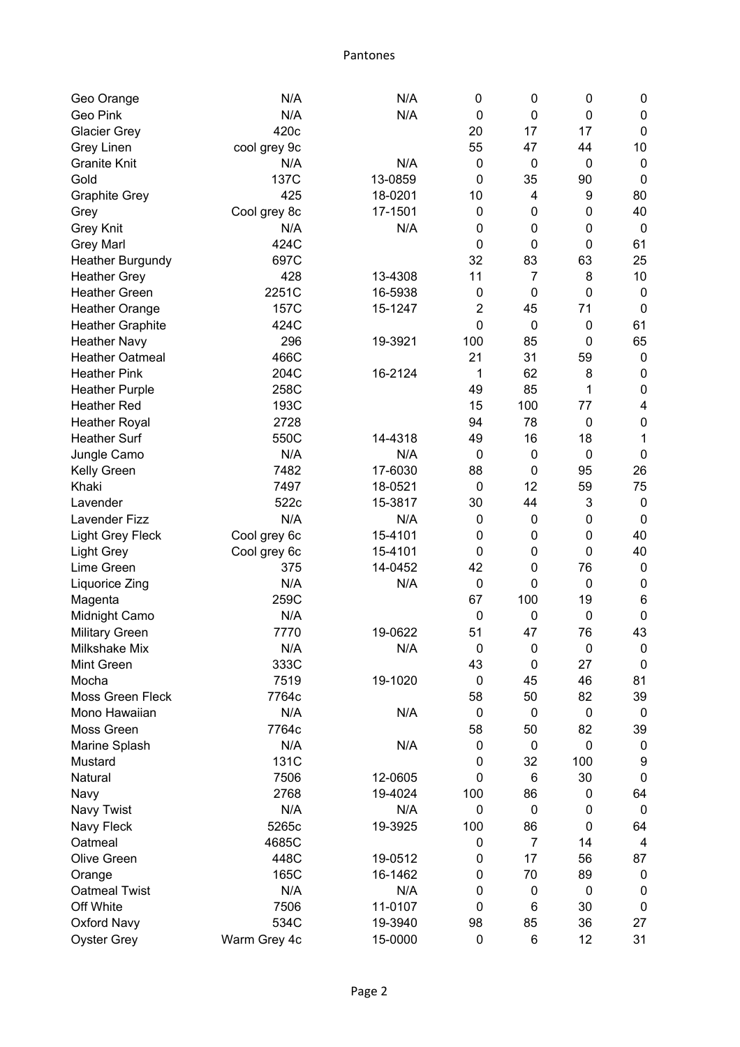Pantones

| Geo Orange              | N/A          | N/A     | $\mathbf 0$      | 0                | 0           | 0                |
|-------------------------|--------------|---------|------------------|------------------|-------------|------------------|
| Geo Pink                | N/A          | N/A     | $\mathbf 0$      | $\mathbf 0$      | 0           | $\pmb{0}$        |
| <b>Glacier Grey</b>     | 420c         |         | 20               | 17               | 17          | $\mathbf 0$      |
| Grey Linen              | cool grey 9c |         | 55               | 47               | 44          | 10               |
| <b>Granite Knit</b>     | N/A          | N/A     | $\mathbf 0$      | $\mathbf 0$      | $\pmb{0}$   | $\boldsymbol{0}$ |
| Gold                    | 137C         | 13-0859 | 0                | 35               | 90          | $\mathbf 0$      |
| <b>Graphite Grey</b>    | 425          | 18-0201 | 10               | 4                | 9           | 80               |
| Grey                    | Cool grey 8c | 17-1501 | $\mathbf 0$      | 0                | 0           | 40               |
| <b>Grey Knit</b>        | N/A          | N/A     | 0                | $\mathbf 0$      | 0           | $\mathbf 0$      |
| <b>Grey Marl</b>        | 424C         |         | $\boldsymbol{0}$ | $\mathbf 0$      | 0           | 61               |
| <b>Heather Burgundy</b> | 697C         |         | 32               | 83               | 63          | 25               |
| <b>Heather Grey</b>     | 428          | 13-4308 | 11               | $\overline{7}$   | 8           | 10               |
| <b>Heather Green</b>    | 2251C        | 16-5938 | $\mathbf 0$      | $\mathbf 0$      | 0           | $\mathbf 0$      |
| <b>Heather Orange</b>   | 157C         | 15-1247 | $\overline{2}$   | 45               | 71          | 0                |
| <b>Heather Graphite</b> | 424C         |         | 0                | $\mathbf 0$      | 0           | 61               |
| <b>Heather Navy</b>     | 296          | 19-3921 | 100              | 85               | 0           | 65               |
| <b>Heather Oatmeal</b>  | 466C         |         | 21               | 31               | 59          | $\boldsymbol{0}$ |
| <b>Heather Pink</b>     | 204C         | 16-2124 | 1                | 62               | 8           | $\pmb{0}$        |
| <b>Heather Purple</b>   | 258C         |         | 49               | 85               | 1           | $\pmb{0}$        |
| <b>Heather Red</b>      | 193C         |         | 15               | 100              | 77          | 4                |
| <b>Heather Royal</b>    | 2728         |         | 94               | 78               | $\mathbf 0$ | $\mathbf 0$      |
| <b>Heather Surf</b>     | 550C         | 14-4318 | 49               | 16               | 18          | 1                |
| Jungle Camo             | N/A          | N/A     | $\mathbf 0$      | $\boldsymbol{0}$ | $\pmb{0}$   | $\mathbf 0$      |
| Kelly Green             | 7482         | 17-6030 | 88               | $\mathbf 0$      | 95          | 26               |
| Khaki                   | 7497         | 18-0521 | $\mathbf 0$      | 12               | 59          | 75               |
| Lavender                | 522c         | 15-3817 | 30               | 44               | 3           | $\boldsymbol{0}$ |
| Lavender Fizz           | N/A          | N/A     | $\mathbf 0$      | $\mathbf 0$      | 0           | $\mathbf 0$      |
| <b>Light Grey Fleck</b> | Cool grey 6c | 15-4101 | 0                | 0                | 0           | 40               |
| <b>Light Grey</b>       | Cool grey 6c | 15-4101 | 0                | $\mathbf 0$      | 0           | 40               |
| Lime Green              | 375          | 14-0452 | 42               | $\mathbf 0$      | 76          | $\boldsymbol{0}$ |
| Liquorice Zing          | N/A          | N/A     | $\mathbf 0$      | $\mathbf 0$      | $\pmb{0}$   | $\boldsymbol{0}$ |
| Magenta                 | 259C         |         | 67               | 100              | 19          | 6                |
| Midnight Camo           | N/A          |         | $\mathbf 0$      | $\mathbf 0$      | $\pmb{0}$   | $\pmb{0}$        |
| <b>Military Green</b>   | 7770         | 19-0622 | 51               | 47               | 76          | 43               |
| Milkshake Mix           | N/A          | N/A     | $\pmb{0}$        | $\pmb{0}$        | $\pmb{0}$   | $\pmb{0}$        |
| Mint Green              | 333C         |         | 43               | $\mathbf 0$      | 27          | $\pmb{0}$        |
| Mocha                   | 7519         | 19-1020 | $\mathbf 0$      | 45               | 46          | 81               |
| Moss Green Fleck        | 7764c        |         | 58               | 50               | 82          | 39               |
| Mono Hawaiian           | N/A          | N/A     | $\mathbf 0$      | $\boldsymbol{0}$ | $\pmb{0}$   | $\mathbf 0$      |
| Moss Green              | 7764c        |         | 58               | 50               | 82          | 39               |
| Marine Splash           | N/A          | N/A     | $\pmb{0}$        | $\boldsymbol{0}$ | 0           | $\mathbf 0$      |
| Mustard                 | 131C         |         | 0                | 32               | 100         | 9                |
| Natural                 | 7506         | 12-0605 | 0                | 6                | 30          | $\pmb{0}$        |
| Navy                    | 2768         | 19-4024 | 100              | 86               | 0           | 64               |
| Navy Twist              | N/A          | N/A     | $\mathbf 0$      | $\boldsymbol{0}$ | 0           | $\boldsymbol{0}$ |
| Navy Fleck              | 5265c        | 19-3925 | 100              | 86               | $\pmb{0}$   | 64               |
| Oatmeal                 | 4685C        |         | $\mathbf 0$      | $\overline{7}$   | 14          | 4                |
| Olive Green             | 448C         | 19-0512 | 0                | 17               | 56          | 87               |
| Orange                  | 165C         | 16-1462 | 0                | 70               | 89          | $\boldsymbol{0}$ |
| <b>Oatmeal Twist</b>    | N/A          | N/A     | $\mathbf 0$      | $\boldsymbol{0}$ | $\pmb{0}$   | $\boldsymbol{0}$ |
| Off White               | 7506         | 11-0107 | 0                | $\,6$            | 30          | $\pmb{0}$        |
| <b>Oxford Navy</b>      | 534C         | 19-3940 | 98               | 85               | 36          | 27               |
| <b>Oyster Grey</b>      | Warm Grey 4c | 15-0000 | $\pmb{0}$        | 6                | 12          | 31               |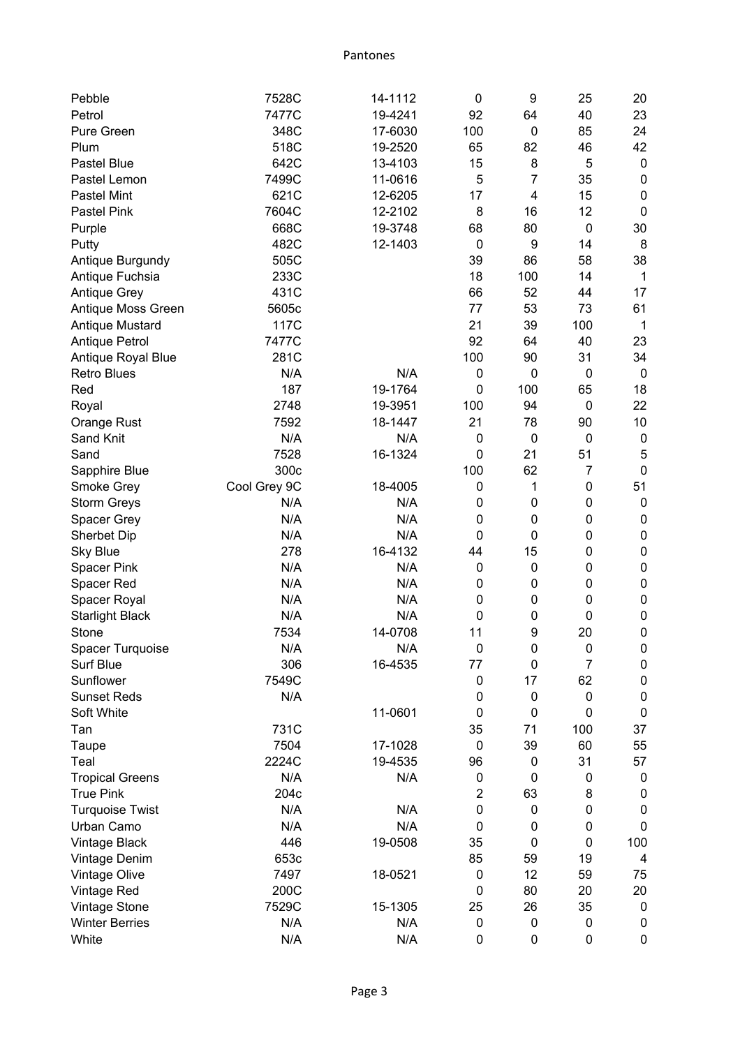Pantones

| Pebble                 | 7528C        | 14-1112 | $\mathbf 0$    | 9                       | 25             | 20               |
|------------------------|--------------|---------|----------------|-------------------------|----------------|------------------|
| Petrol                 | 7477C        | 19-4241 | 92             | 64                      | 40             | 23               |
| Pure Green             | 348C         | 17-6030 | 100            | 0                       | 85             | 24               |
| Plum                   | 518C         | 19-2520 | 65             | 82                      | 46             | 42               |
| <b>Pastel Blue</b>     | 642C         | 13-4103 | 15             | 8                       | 5              | $\boldsymbol{0}$ |
| Pastel Lemon           | 7499C        | 11-0616 | 5              | $\overline{7}$          | 35             | $\pmb{0}$        |
| <b>Pastel Mint</b>     | 621C         | 12-6205 | 17             | $\overline{\mathbf{4}}$ | 15             | $\pmb{0}$        |
| <b>Pastel Pink</b>     | 7604C        | 12-2102 | 8              | 16                      | 12             | $\mathbf 0$      |
| Purple                 | 668C         | 19-3748 | 68             | 80                      | $\pmb{0}$      | 30               |
| Putty                  | 482C         | 12-1403 | $\mathbf 0$    | 9                       | 14             | 8                |
| Antique Burgundy       | 505C         |         | 39             | 86                      | 58             | 38               |
| Antique Fuchsia        | 233C         |         | 18             | 100                     | 14             | 1                |
| <b>Antique Grey</b>    | 431C         |         | 66             | 52                      | 44             | 17               |
| Antique Moss Green     | 5605c        |         | 77             | 53                      | 73             | 61               |
| Antique Mustard        | 117C         |         | 21             | 39                      | 100            | $\mathbf 1$      |
| <b>Antique Petrol</b>  | 7477C        |         | 92             | 64                      | 40             | 23               |
| Antique Royal Blue     | 281C         |         | 100            | 90                      | 31             | 34               |
| <b>Retro Blues</b>     | N/A          | N/A     | $\mathbf 0$    | $\mathbf 0$             | $\mathbf 0$    | $\boldsymbol{0}$ |
| Red                    | 187          | 19-1764 | $\mathbf 0$    | 100                     | 65             | 18               |
| Royal                  | 2748         | 19-3951 | 100            | 94                      | $\pmb{0}$      | 22               |
| Orange Rust            | 7592         | 18-1447 | 21             | 78                      | 90             | 10               |
| Sand Knit              | N/A          | N/A     | $\mathbf 0$    | $\boldsymbol{0}$        | 0              | $\pmb{0}$        |
| Sand                   | 7528         | 16-1324 | 0              | 21                      | 51             | 5                |
| Sapphire Blue          | 300c         |         | 100            | 62                      | $\overline{7}$ | $\mathbf 0$      |
| Smoke Grey             | Cool Grey 9C | 18-4005 | $\mathbf 0$    | 1                       | 0              | 51               |
| <b>Storm Greys</b>     | N/A          | N/A     | $\mathbf 0$    | $\mathbf 0$             | 0              | $\pmb{0}$        |
| Spacer Grey            | N/A          | N/A     | $\mathbf 0$    | $\mathbf 0$             | $\pmb{0}$      | $\pmb{0}$        |
| <b>Sherbet Dip</b>     | N/A          | N/A     | $\mathbf 0$    | 0                       | 0              | $\pmb{0}$        |
| <b>Sky Blue</b>        | 278          | 16-4132 | 44             | 15                      | 0              | $\pmb{0}$        |
| <b>Spacer Pink</b>     | N/A          | N/A     | $\mathbf 0$    | $\boldsymbol{0}$        | 0              | $\pmb{0}$        |
| Spacer Red             | N/A          | N/A     | $\mathbf 0$    | 0                       | $\pmb{0}$      | $\pmb{0}$        |
| Spacer Royal           | N/A          | N/A     | $\mathbf 0$    | $\mathbf 0$             | $\pmb{0}$      | $\pmb{0}$        |
| <b>Starlight Black</b> | N/A          | N/A     | $\mathbf 0$    | 0                       | $\pmb{0}$      | $\pmb{0}$        |
| Stone                  | 7534         | 14-0708 | 11             | 9                       | 20             | $\mathbf 0$      |
| Spacer Turquoise       | N/A          | N/A     | 0              | 0                       | 0              | 0                |
| <b>Surf Blue</b>       | 306          | 16-4535 | 77             | $\boldsymbol{0}$        | $\overline{7}$ | 0                |
| Sunflower              | 7549C        |         | $\pmb{0}$      | 17                      | 62             | $\pmb{0}$        |
| <b>Sunset Reds</b>     | N/A          |         | $\mathbf 0$    | $\boldsymbol{0}$        | $\pmb{0}$      | $\pmb{0}$        |
| Soft White             |              | 11-0601 | $\mathbf 0$    | 0                       | 0              | $\pmb{0}$        |
| Tan                    | 731C         |         | 35             | 71                      | 100            | 37               |
| Taupe                  | 7504         | 17-1028 | $\mathbf 0$    | 39                      | 60             | 55               |
| Teal                   | 2224C        | 19-4535 | 96             | 0                       | 31             | 57               |
| <b>Tropical Greens</b> | N/A          | N/A     | 0              | 0                       | 0              | $\pmb{0}$        |
| <b>True Pink</b>       | 204c         |         | $\overline{2}$ | 63                      | 8              | 0                |
| <b>Turquoise Twist</b> | N/A          | N/A     | $\mathbf 0$    | 0                       | $\pmb{0}$      | $\pmb{0}$        |
| Urban Camo             | N/A          | N/A     | $\mathbf 0$    | 0                       | 0              | 0                |
| <b>Vintage Black</b>   | 446          | 19-0508 | 35             | 0                       | 0              | 100              |
| Vintage Denim          | 653c         |         | 85             | 59                      | 19             | 4                |
| Vintage Olive          | 7497         | 18-0521 | $\mathbf 0$    | 12                      | 59             | 75               |
| Vintage Red            | 200C         |         | $\mathbf 0$    | 80                      | 20             | 20               |
| Vintage Stone          | 7529C        | 15-1305 | 25             | 26                      | 35             | $\mathbf 0$      |
| <b>Winter Berries</b>  | N/A          | N/A     | $\mathbf 0$    | 0                       | 0              | 0                |
| White                  | N/A          | N/A     | $\mathbf 0$    | 0                       | 0              | 0                |
|                        |              |         |                |                         |                |                  |